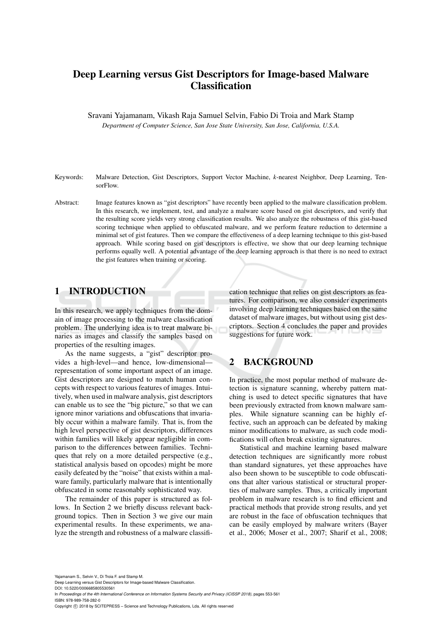# Deep Learning versus Gist Descriptors for Image-based Malware **Classification**

Sravani Yajamanam, Vikash Raja Samuel Selvin, Fabio Di Troia and Mark Stamp

*Department of Computer Science, San Jose State University, San Jose, California, U.S.A.*

- Keywords: Malware Detection, Gist Descriptors, Support Vector Machine, *k*-nearest Neighbor, Deep Learning, TensorFlow.
- Abstract: Image features known as "gist descriptors" have recently been applied to the malware classification problem. In this research, we implement, test, and analyze a malware score based on gist descriptors, and verify that the resulting score yields very strong classification results. We also analyze the robustness of this gist-based scoring technique when applied to obfuscated malware, and we perform feature reduction to determine a minimal set of gist features. Then we compare the effectiveness of a deep learning technique to this gist-based approach. While scoring based on gist descriptors is effective, we show that our deep learning technique performs equally well. A potential advantage of the deep learning approach is that there is no need to extract the gist features when training or scoring.

## 1 INTRODUCTION

In this research, we apply techniques from the domain of image processing to the malware classification problem. The underlying idea is to treat malware binaries as images and classify the samples based on properties of the resulting images.

As the name suggests, a "gist" descriptor provides a high-level—and hence, low-dimensional representation of some important aspect of an image. Gist descriptors are designed to match human concepts with respect to various features of images. Intuitively, when used in malware analysis, gist descriptors can enable us to see the "big picture," so that we can ignore minor variations and obfuscations that invariably occur within a malware family. That is, from the high level perspective of gist descriptors, differences within families will likely appear negligible in comparison to the differences between families. Techniques that rely on a more detailed perspective (e.g., statistical analysis based on opcodes) might be more easily defeated by the "noise" that exists within a malware family, particularly malware that is intentionally obfuscated in some reasonably sophisticated way.

The remainder of this paper is structured as follows. In Section 2 we briefly discuss relevant background topics. Then in Section 3 we give our main experimental results. In these experiments, we analyze the strength and robustness of a malware classification technique that relies on gist descriptors as features. For comparison, we also consider experiments involving deep learning techniques based on the same dataset of malware images, but without using gist descriptors. Section 4 concludes the paper and provides suggestions for future work.

## 2 BACKGROUND

In practice, the most popular method of malware detection is signature scanning, whereby pattern matching is used to detect specific signatures that have been previously extracted from known malware samples. While signature scanning can be highly effective, such an approach can be defeated by making minor modifications to malware, as such code modifications will often break existing signatures.

Statistical and machine learning based malware detection techniques are significantly more robust than standard signatures, yet these approaches have also been shown to be susceptible to code obfuscations that alter various statistical or structural properties of malware samples. Thus, a critically important problem in malware research is to find efficient and practical methods that provide strong results, and yet are robust in the face of obfuscation techniques that can be easily employed by malware writers (Bayer et al., 2006; Moser et al., 2007; Sharif et al., 2008;

Yajamanam S., Selvin V., Di Troia F. and Stamp M.

Deep Learning versus Gist Descriptors for Image-based Malware Classification. DOI: 10.5220/0006685805530561

In *Proceedings of the 4th International Conference on Information Systems Security and Privacy (ICISSP 2018)*, pages 553-561 ISBN: 978-989-758-282-0

Copyright © 2018 by SCITEPRESS - Science and Technology Publications, Lda. All rights reserved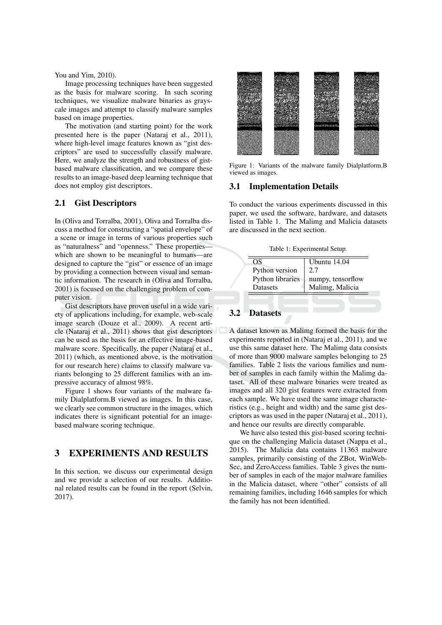You and Yim, 2010).

Image processing techniques have been suggested as the basis for malware scoring. In such scoring techniques, we visualize malware binaries as grayscale images and attempt to classify malware samples based on image properties.

The motivation (and starting point) for the work presented here is the paper (Nataraj et al., 2011), where high-level image features known as "gist descriptors" are used to successfully classify malware. Here, we analyze the strength and robustness of gistbased malware classification, and we compare these results to an image-based deep learning technique that does not employ gist descriptors.

### $2.1$ **Gist Descriptors**

In (Oliva and Torralba, 2001), Oliva and Torralba discuss a method for constructing a "spatial envelope" of a scene or image in terms of various properties such as "naturalness" and "openness." These propertieswhich are shown to be meaningful to humans-are designed to capture the "gist" or essence of an image by providing a connection between visual and semantic information. The research in (Oliva and Torralba, 2001) is focused on the challenging problem of computer vision.

Gist descriptors have proven useful in a wide variety of applications including, for example, web-scale image search (Douze et al., 2009). A recent article (Nataraj et al., 2011) shows that gist descriptors can be used as the basis for an effective image-based malware score. Specifically, the paper (Nataraj et al., 2011) (which, as mentioned above, is the motivation for our research here) claims to classify malware variants belonging to 25 different families with an impressive accuracy of almost 98%.

Figure 1 shows four variants of the malware family Dialplatform.B viewed as images. In this case, we clearly see common structure in the images, which indicates there is significant potential for an imagebased malware scoring technique.

### 3 **EXPERIMENTS AND RESULTS**

In this section, we discuss our experimental design and we provide a selection of our results. Additional related results can be found in the report (Selvin, 2017).



Figure 1: Variants of the malware family Dialplatform.B viewed as images.

### **Implementation Details 3.1**

To conduct the various experiments discussed in this paper, we used the software, hardware, and datasets listed in Table 1. The Malimg and Malicia datasets are discussed in the next section.

Table 1: Experimental Setup.

| OS               | Ubuntu 14.04      |
|------------------|-------------------|
| Python version   | 2.7               |
| Python libraries | numpy, tensorflow |
| <b>Datasets</b>  | Malimg, Malicia   |

### $3.2$ **Datasets**

A dataset known as Malimg formed the basis for the experiments reported in (Nataraj et al., 2011), and we use this same dataset here. The Malimg data consists of more than 9000 malware samples belonging to 25 families. Table 2 lists the various families and number of samples in each family within the Malimg dataset. All of these malware binaries were treated as images and all 320 gist features were extracted from each sample. We have used the same image characteristics (e.g., height and width) and the same gist descriptors as was used in the paper (Nataraj et al., 2011), and hence our results are directly comparable.

We have also tested this gist-based scoring technique on the challenging Malicia dataset (Nappa et al., 2015). The Malicia data contains 11363 malware samples, primarily consisting of the ZBot, WinWeb-Sec, and ZeroAccess families. Table 3 gives the number of samples in each of the major malware families in the Malicia dataset, where "other" consists of all remaining families, including 1646 samples for which the family has not been identified.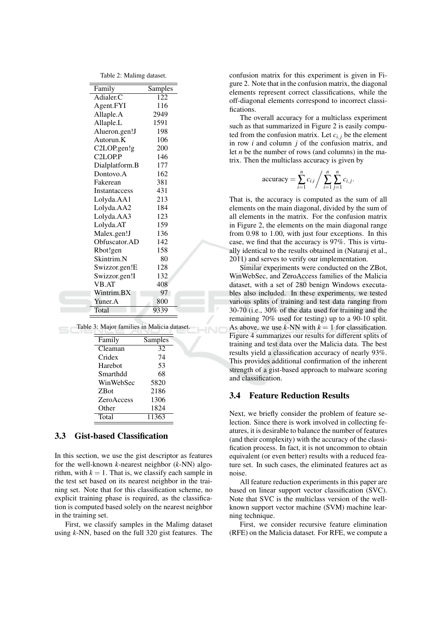| Family               | Samples |
|----------------------|---------|
| Adialer.C            | 122     |
| Agent.FYI            | 116     |
| Allaple.A            | 2949    |
| Allaple.L            | 1591    |
| Alueron.gen!J        | 198     |
| Autorun.K            | 106     |
| C2LOP.gen!g          | 200     |
| C <sub>2</sub> LOP.P | 146     |
| Dialplatform.B       | 177     |
| Dontovo.A            | 162     |
| Fakerean             | 381     |
| Instantaccess        | 431     |
| Lolyda.AA1           | 213     |
| Lolyda.AA2           | 184     |
| Lolyda.AA3           | 123     |
| Lolyda.AT            | 159     |
| Malex.gen!J          | 136     |
| Obfuscator.AD        | 142     |
| Rbot!gen             | 158     |
| Skintrim.N           | 80      |
| Swizzor.gen!E        | 128     |
| Swizzor.gen!I        | 132     |
| <b>VB.AT</b>         | 408     |
| Wintrim.BX           | 97      |
| Yuner.A              | 800     |
| Total                | 9339    |

Table 2: Malimo dataset

Table 3: Major families in Malicia dataset.

| Family            | Samples |  |
|-------------------|---------|--|
| Cleaman           | 32      |  |
| Cridex            | 74      |  |
| Harebot           | 53      |  |
| Smarthdd          | 68      |  |
| WinWebSec         | 5820    |  |
| <b>ZBot</b>       | 2186    |  |
| <b>ZeroAccess</b> | 1306    |  |
| Other             | 1824    |  |
| Total             | 11363   |  |
|                   |         |  |

### 3.3 **Gist-based Classification**

In this section, we use the gist descriptor as features for the well-known  $k$ -nearest neighbor  $(k$ -NN) algorithm, with  $k = 1$ . That is, we classify each sample in the test set based on its nearest neighbor in the training set. Note that for this classification scheme, no explicit training phase is required, as the classification is computed based solely on the nearest neighbor in the training set.

First, we classify samples in the Malimg dataset using  $k$ -NN, based on the full 320 gist features. The confusion matrix for this experiment is given in Figure 2. Note that in the confusion matrix, the diagonal elements represent correct classifications, while the off-diagonal elements correspond to incorrect classifications.

The overall accuracy for a multiclass experiment such as that summarized in Figure 2 is easily computed from the confusion matrix. Let  $c_{i,j}$  be the element in row  $i$  and column  $j$  of the confusion matrix, and let *n* be the number of rows (and columns) in the matrix. Then the multiclass accuracy is given by

accuracy = 
$$
\sum_{i=1}^{n} c_{i,i} / \sum_{i=1}^{n} \sum_{j=1}^{n} c_{i,j}
$$
.

That is, the accuracy is computed as the sum of all elements on the main diagonal, divided by the sum of all elements in the matrix. For the confusion matrix in Figure 2, the elements on the main diagonal range from 0.98 to 1.00, with just four exceptions. In this case, we find that the accuracy is 97%. This is virtually identical to the results obtained in (Nataraj et al., 2011) and serves to verify our implementation.

Similar experiments were conducted on the ZBot, WinWebSec, and ZeroAccess families of the Malicia dataset, with a set of 280 benign Windows executables also included. In these experiments, we tested various splits of training and test data ranging from 30-70 (i.e., 30% of the data used for training and the remaining 70% used for testing) up to a 90-10 split. As above, we use k-NN with  $k = 1$  for classification. Figure 4 summarizes our results for different splits of training and test data over the Malicia data. The best results yield a classification accuracy of nearly 93%. This provides additional confirmation of the inherent strength of a gist-based approach to malware scoring and classification.

### $3.4$ **Feature Reduction Results**

Next, we briefly consider the problem of feature selection. Since there is work involved in collecting features, it is desirable to balance the number of features (and their complexity) with the accuracy of the classification process. In fact, it is not uncommon to obtain equivalent (or even better) results with a reduced feature set. In such cases, the eliminated features act as noise

All feature reduction experiments in this paper are based on linear support vector classification (SVC). Note that SVC is the multiclass version of the wellknown support vector machine (SVM) machine learning technique.

First, we consider recursive feature elimination (RFE) on the Malicia dataset. For RFE, we compute a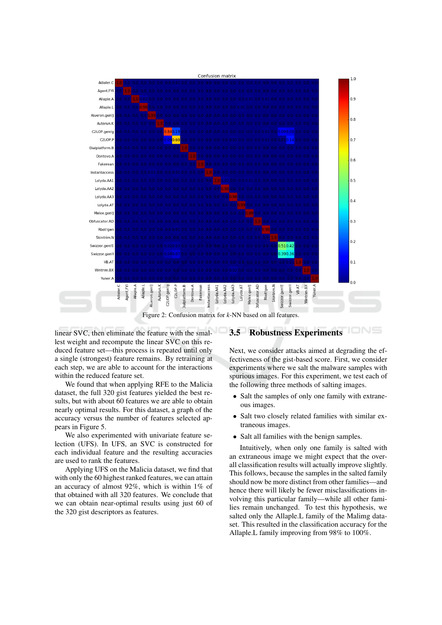

linear SVC, then eliminate the feature with the smallest weight and recompute the linear SVC on this reduced feature set—this process is repeated until only a single (strongest) feature remains. By retraining at each step, we are able to account for the interactions within the reduced feature set.

We found that when applying RFE to the Malicia dataset, the full 320 gist features yielded the best results, but with about 60 features we are able to obtain nearly optimal results. For this dataset, a graph of the accuracy versus the number of features selected appears in Figure 5.

We also experimented with univariate feature selection (UFS). In UFS, an SVC is constructed for each individual feature and the resulting accuracies are used to rank the features.

Applying UFS on the Malicia dataset, we find that with only the 60 highest ranked features, we can attain an accuracy of almost 92%, which is within 1% of that obtained with all 320 features. We conclude that we can obtain near-optimal results using just 60 of the 320 gist descriptors as features.

## **3.5 Robustness Experiments**

Next, we consider attacks aimed at degrading the effectiveness of the gist-based score. First, we consider experiments where we salt the malware samples with spurious images. For this experiment, we test each of the following three methods of salting images.

- Salt the samples of only one family with extraneous images.
- Salt two closely related families with similar extraneous images.
- Salt all families with the benign samples.

Intuitively, when only one family is salted with an extraneous image we might expect that the overall classification results will actually improve slightly. This follows, because the samples in the salted family should now be more distinct from other families—and hence there will likely be fewer misclassifications involving this particular family—while all other families remain unchanged. To test this hypothesis, we salted only the Allaple. L family of the Malimg dataset. This resulted in the classification accuracy for the Allaple.L family improving from 98% to 100%.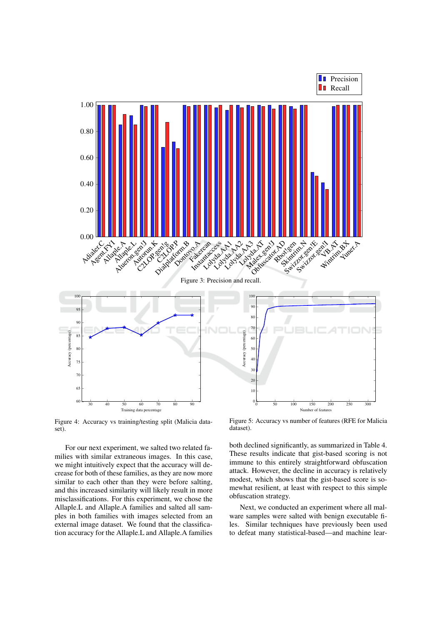

Figure 4: Accuracy vs training/testing split (Malicia dataset).

For our next experiment, we salted two related families with similar extraneous images. In this case, we might intuitively expect that the accuracy will decrease for both of these families, as they are now more similar to each other than they were before salting, and this increased similarity will likely result in more misclassifications. For this experiment, we chose the Allaple.L and Allaple.A families and salted all samples in both families with images selected from an external image dataset. We found that the classification accuracy for the Allaple. L and Allaple. A families

Figure 5: Accuracy vs number of features (RFE for Malicia dataset).

both declined significantly, as summarized in Table 4. These results indicate that gist-based scoring is not immune to this entirely straightforward obfuscation attack. However, the decline in accuracy is relatively modest, which shows that the gist-based score is somewhat resilient, at least with respect to this simple obfuscation strategy.

Next, we conducted an experiment where all malware samples were salted with benign executable files. Similar techniques have previously been used to defeat many statistical-based—and machine lear-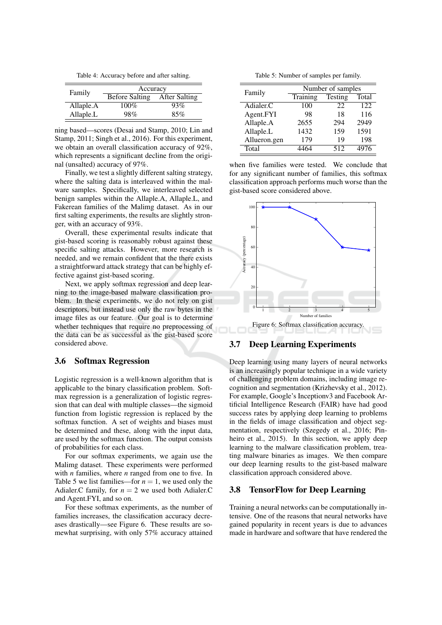Table 4: Accuracy before and after salting.

| Family    | Accuracy       |                      |
|-----------|----------------|----------------------|
|           | Before Salting | <b>After Salting</b> |
| Allaple.A | $100\%$        | 93%                  |
| Allaple.L | 98%            | 85%                  |
|           |                |                      |

ning based—scores (Desai and Stamp, 2010; Lin and Stamp, 2011; Singh et al., 2016). For this experiment, we obtain an overall classification accuracy of 92%, which represents a significant decline from the original (unsalted) accuracy of 97%.

Finally, we test a slightly different salting strategy, where the salting data is interleaved within the malware samples. Specifically, we interleaved selected benign samples within the Allaple.A, Allaple.L, and Fakerean families of the Malimg dataset. As in our first salting experiments, the results are slightly stronger, with an accuracy of 93%.

Overall, these experimental results indicate that gist-based scoring is reasonably robust against these specific salting attacks. However, more research is needed, and we remain confident that the there exists a straightforward attack strategy that can be highly effective against gist-based scoring.

Next, we apply softmax regression and deep learning to the image-based malware classification problem. In these experiments, we do not rely on gist descriptors, but instead use only the raw bytes in the image files as our feature. Our goal is to determine whether techniques that require no preprocessing of the data can be as successful as the gist-based score considered above.

### $3.6$ **Softmax Regression**

Logistic regression is a well-known algorithm that is applicable to the binary classification problem. Softmax regression is a generalization of logistic regression that can deal with multiple classes—the sigmoid function from logistic regression is replaced by the softmax function. A set of weights and biases must be determined and these, along with the input data, are used by the softmax function. The output consists of probabilities for each class.

For our softmax experiments, we again use the Malimg dataset. These experiments were performed with  $n$  families, where  $n$  ranged from one to five. In Table 5 we list families—for  $n = 1$ , we used only the Adialer.C family, for  $n = 2$  we used both Adialer.C and Agent.FYI, and so on.

For these softmax experiments, as the number of families increases, the classification accuracy decreases drastically—see Figure 6. These results are somewhat surprising, with only 57% accuracy attained

Table 5: Number of samples per family.

| Family       | Number of samples |         |       |
|--------------|-------------------|---------|-------|
|              | Training          | Testing | Total |
| Adialer.C    | 100               | 22      | 122   |
| Agent.FYI    | 98                | 18      | 116   |
| Allaple.A    | 2655              | 294     | 2949  |
| Allaple.L    | 1432              | 159     | 1591  |
| Allueron.gen | 179               | 19      | 198   |
| Total        |                   | 512     | 4976  |

when five families were tested. We conclude that for any significant number of families, this softmax classification approach performs much worse than the gist-based score considered above.



### **Deep Learning Experiments**  $3.7$

Deep learning using many layers of neural networks is an increasingly popular technique in a wide variety of challenging problem domains, including image recognition and segmentation (Krizhevsky et al., 2012). For example, Google's Inception 3 and Facebook Artificial Intelligence Research (FAIR) have had good success rates by applying deep learning to problems in the fields of image classification and object segmentation, respectively (Szegedy et al., 2016; Pinheiro et al., 2015). In this section, we apply deep learning to the malware classification problem, treating malware binaries as images. We then compare our deep learning results to the gist-based malware classification approach considered above.

### **TensorFlow for Deep Learning**  $3.8$

Training a neural networks can be computationally intensive. One of the reasons that neural networks have gained popularity in recent years is due to advances made in hardware and software that have rendered the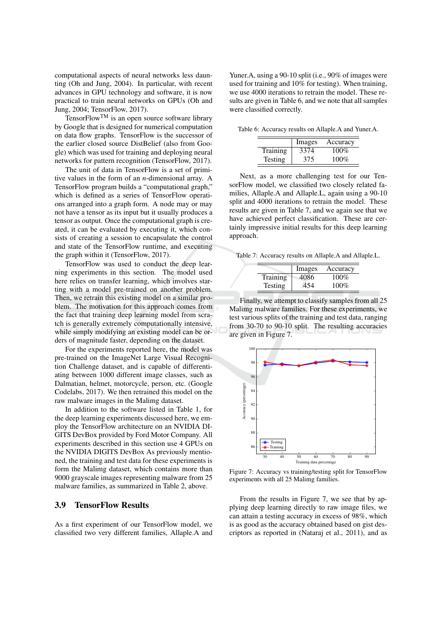computational aspects of neural networks less daunting (Oh and Jung, 2004). In particular, with recent advances in GPU technology and software, it is now practical to train neural networks on GPUs (Oh and Jung, 2004; TensorFlow, 2017).

Tensor $Flow^{TM}$  is an open source software library by Google that is designed for numerical computation on data flow graphs. TensorFlow is the successor of the earlier closed source DistBelief (also from Google) which was used for training and deploying neural networks for pattern recognition (TensorFlow, 2017).

The unit of data in TensorFlow is a set of primitive values in the form of an  $n$ -dimensional array. A TensorFlow program builds a "computational graph," which is defined as a series of TensorFlow operations arranged into a graph form. A node may or may not have a tensor as its input but it usually produces a tensor as output. Once the computational graph is created, it can be evaluated by executing it, which consists of creating a session to encapsulate the control and state of the TensorFlow runtime, and executing the graph within it (TensorFlow, 2017).

TensorFlow was used to conduct the deep learning experiments in this section. The model used here relies on transfer learning, which involves starting with a model pre-trained on another problem. Then, we retrain this existing model on a similar problem. The motivation for this approach comes from the fact that training deep learning model from scratch is generally extremely computationally intensive, while simply modifying an existing model can be orders of magnitude faster, depending on the dataset.

For the experiments reported here, the model was pre-trained on the ImageNet Large Visual Recognition Challenge dataset, and is capable of differentiating between 1000 different image classes, such as Dalmatian, helmet, motorcycle, person, etc. (Google Codelabs, 2017). We then retrained this model on the raw malware images in the Malimg dataset.

In addition to the software listed in Table 1, for the deep learning experiments discussed here, we employ the TensorFlow architecture on an NVIDIA DI-GITS DevBox provided by Ford Motor Company. All experiments described in this section use 4 GPUs on the NVIDIA DIGITS DevBox As previously mentioned, the training and test data for these experiments is form the Malimg dataset, which contains more than 9000 grayscale images representing malware from 25 malware families, as summarized in Table 2, above.

### 3.9 **TensorFlow Results**

As a first experiment of our TensorFlow model, we classified two very different families, Allaple.A and Yuner.A, using a 90-10 split (i.e., 90% of images were used for training and 10% for testing). When training, we use 4000 iterations to retrain the model. These results are given in Table 6, and we note that all samples were classified correctly.

Table 6: Accuracy results on Allaple.A and Yuner.A.

|                | Images | Accuracy |
|----------------|--------|----------|
| Training       | 3374   | $100\%$  |
| <b>Testing</b> | 375    | $100\%$  |

Next, as a more challenging test for our TensorFlow model, we classified two closely related families, Allaple.A and Allaple.L, again using a 90-10 split and 4000 iterations to retrain the model. These results are given in Table 7, and we again see that we have achieved perfect classification. These are certainly impressive initial results for this deep learning approach.

Table 7: Accuracy results on Allaple.A and Allaple.L.

|          | Images | Accuracy |
|----------|--------|----------|
| Training | 4086   | $100\%$  |
| Testing  | 454    | $100\%$  |

Finally, we attempt to classify samples from all 25 Malimg malware families. For these experiments, we test various splits of the training and test data, ranging from 30-70 to 90-10 split. The resulting accuracies are given in Figure 7.



Figure 7: Accuracy vs training/testing split for TensorFlow experiments with all 25 Malimg families.

From the results in Figure 7, we see that by applying deep learning directly to raw image files, we can attain a testing accuracy in excess of 98%, which is as good as the accuracy obtained based on gist descriptors as reported in (Nataraj et al., 2011), and as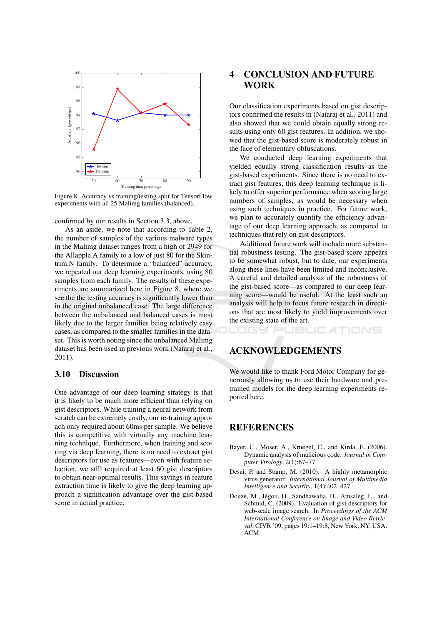

Figure 8: Accuracy vs training/testing split for TensorFlow experiments with all 25 Malimg families (balanced).

confirmed by our results in Section 3.3, above.

As an aside, we note that according to Table 2, the number of samples of the various malware types in the Malimg dataset ranges from a high of 2949 for the Allapple.A family to a low of just 80 for the Skintrim.N family. To determine a "balanced" accuracy, we repeated our deep learning experiments, using 80 samples from each family. The results of these experiments are summarized here in Figure 8, where we see the the testing accuracy is significantly lower than in the original unbalanced case. The large difference between the unbalanced and balanced cases is most likely due to the larger families being relatively easy cases, as compared to the smaller families in the dataset. This is worth noting since the unbalanced Malimg dataset has been used in previous work (Nataraj et al.,  $2011$ ).

#### 3.10 **Discussion**

One advantage of our deep learning strategy is that it is likely to be much more efficient than relying on gist descriptors. While training a neural network from scratch can be extremely costly, our re-training approach only required about 60ms per sample. We believe this is competitive with virtually any machine learning technique. Furthermore, when training and scoring via deep learning, there is no need to extract gist descriptors for use as features—even with feature selection, we still required at least 60 gist descriptors to obtain near-optimal results. This savings in feature extraction time is likely to give the deep learning approach a signification advantage over the gist-based score in actual practice.

### **CONCLUSION AND FUTURE**  $\overline{\mathbf{4}}$ **WORK**

Our classification experiments based on gist descriptors confirmed the results in (Nataraj et al., 2011) and also showed that we could obtain equally strong results using only 60 gist features. In addition, we showed that the gist-based score is moderately robust in the face of elementary obfuscations.

We conducted deep learning experiments that yielded equally strong classification results as the gist-based experiments. Since there is no need to extract gist features, this deep learning technique is likely to offer superior performance when scoring large numbers of samples, as would be necessary when using such techniques in practice. For future work, we plan to accurately quantify the efficiency advantage of our deep learning approach, as compared to techniques that rely on gist descriptors.

Additional future work will include more substantial robustness testing. The gist-based score appears to be somewhat robust, but to date, our experiments along these lines have been limited and inconclusive. A careful and detailed analysis of the robustness of the gist-based score—as compared to our deep learning score—would be useful. At the least such an analysis will help to focus future research in directions that are most likely to yield improvements over the existing state of the art.

DGY PUBLIC ATIONS

**ACKNOWLEDGEMENTS** 

We would like to thank Ford Motor Company for generously allowing us to use their hardware and pretrained models for the deep learning experiments reported here.

## **REFERENCES**

- Bayer, U., Moser, A., Kruegel, C., and Kirda, E. (2006). Dynamic analysis of malicious code. Journal in Computer Virology, 2(1):67-77.
- Desai, P. and Stamp, M. (2010). A highly metamorphic virus generator. International Journal of Multimedia Intelligence and Security, 1(4):402-427.
- Douze, M., Jégou, H., Sandhawalia, H., Amsaleg, L., and Schmid, C. (2009). Evaluation of gist descriptors for web-scale image search. In Proceedings of the ACM International Conference on Image and Video Retrieval, CIVR '09, pages 19:1-19:8, New York, NY, USA. ACM.